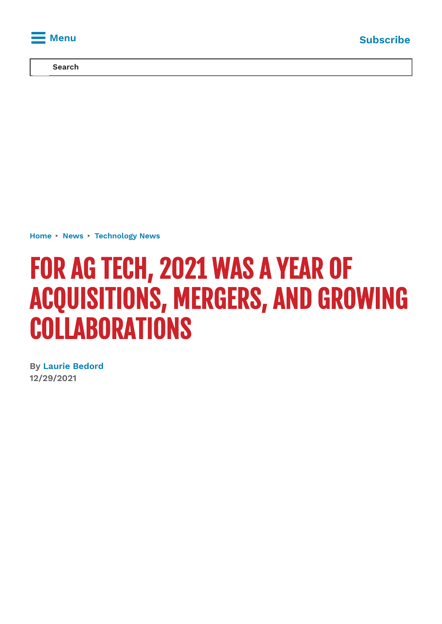

**Search**

**[Home](https://www.agriculture.com/)** ▸ **[News](https://www.agriculture.com/news)** ▸ **[Technology](https://www.agriculture.com/news/technology) News**

# FOR AG TECH, 2021 WAS A YEAR OF ACQUISITIONS, MERGERS, AND GROWING **COLLABORATIONS**

**By Laurie [Bedord](https://www.agriculture.com/author/laurie-bedord) 12/29/2021**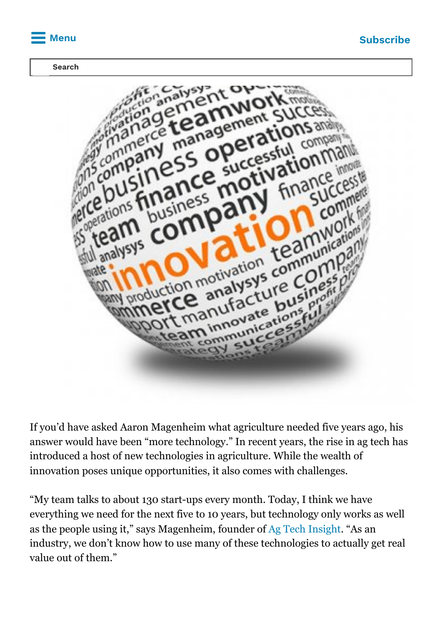

#### **Search**



If you'd have asked Aaron Magenheim what agriculture needed five years ago, his answer would have been "more technology." In recent years, the rise in ag tech has introduced a host of new technologies in agriculture. While the wealth of innovation poses unique opportunities, it also comes with challenges.

"My team talks to about 130 start-ups every month. Today, I think we have everything we need for the next five to 10 years, but technology only works as well as the people using it," says Magenheim, founder of [Ag Tech Insight](http://agtechinsight.com/). "As an industry, we don't know how to use many of these technologies to actually get real value out of them."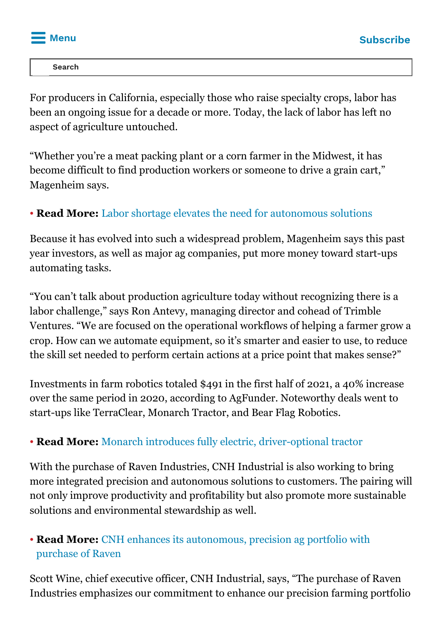

**AUTOR SEATCH**<br> **AUTOR CONTINUES AND SEATCH CONTINUES AND SEATCH CONTINUES AND SEATCH CONTINUES AND SEATCH CONTINUES AND SEATCH CONTINUES. Search**

For producers in California, especially those who raise specialty crops, labor has been an ongoing issue for a decade or more. Today, the lack of labor has left no aspect of agriculture untouched.

"Whether you're a meat packing plant or a corn farmer in the Midwest, it has become difficult to find production workers or someone to drive a grain cart," Magenheim says.

### • **Read More:** [Labor shortage elevates the need for autonomous solutions](https://www.agriculture.com/news/technology/labor-shortage-elevates-the-need-for-autonomous-solutions)

Because it has evolved into such a widespread problem, Magenheim says this past year investors, as well as major ag companies, put more money toward start-ups automating tasks.

"You can't talk about production agriculture today without recognizing there is a labor challenge," says Ron Antevy, managing director and cohead of Trimble Ventures. "We are focused on the operational workflows of helping a farmer grow a crop. How can we automate equipment, so it's smarter and easier to use, to reduce the skill set needed to perform certain actions at a price point that makes sense?"

Investments in farm robotics totaled \$491 in the first half of 2021, a 40% increase over the same period in 2020, according to AgFunder. Noteworthy deals went to start-ups like TerraClear, Monarch Tractor, and Bear Flag Robotics.

### ● **Read More:** [Monarch introduces fully electric, driver-optional tractor](https://www.agriculture.com/news/machinery/monarch-introduces-fully-electric-driver-optional-smart-tractor)

With the purchase of Raven Industries, CNH Industrial is also working to bring more integrated precision and autonomous solutions to customers. The pairing will not only improve productivity and profitability but also promote more sustainable solutions and environmental stewardship as well.

### • **Read More:** [CNH enhances its autonomous, precision ag portfolio with](https://www.agriculture.com/news/technology/cnh-enhances-its-autonomous-precision-ag-portfolio-with-purchase-of-raven) purchase of Raven

Scott Wine, chief executive officer, CNH Industrial, says, "The purchase of Raven Industries emphasizes our commitment to enhance our precision farming portfolio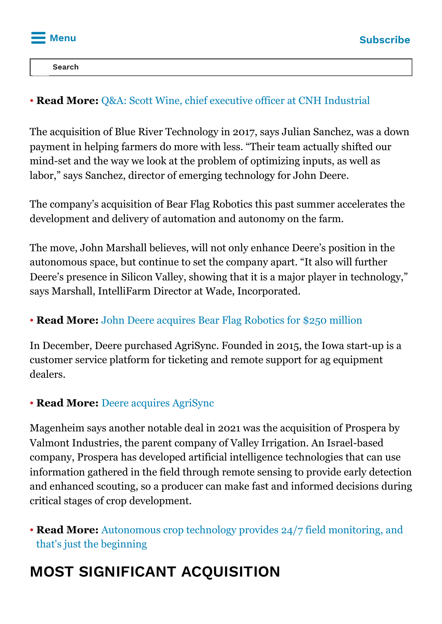

provide our customers with novel, connected technologies, allowing them to be  $\begin{bmatrix} 1 & 3 & 3 & 0 & 0 \\ 0 & 0 & 0 & 0 & 0 \\ 0 & 0 & 0 & 0 & 0 \\ 0 & 0 & 0 & 0 & 0 \\ 0 & 0 & 0 & 0 & 0 \\ 0 & 0 & 0 & 0 & 0 \\ 0 & 0 & 0 & 0 & 0 \\ 0 & 0 & 0 & 0 & 0 \\ 0 & 0 & 0 & 0 & 0 \\ 0 & 0 & 0 & 0 & 0 \\ 0 & 0 & 0 & 0 & 0 \\ 0 & 0 & 0 & 0 & 0 \\ 0 & 0 & 0 & 0 & 0 \\ 0 & 0 & 0 & 0 & 0 & 0 \\$ **Search**

### ● **Read More:** [Q&A: Scott Wine, chief executive officer at CNH Industrial](http://www.agriculture.com/MACHINERY/QA-SCOTT-WINE)

The acquisition of Blue River Technology in 2017, says Julian Sanchez, was a down payment in helping farmers do more with less. "Their team actually shifted our mind-set and the way we look at the problem of optimizing inputs, as well as labor," says Sanchez, director of emerging technology for John Deere.

The company's acquisition of Bear Flag Robotics this past summer accelerates the development and delivery of automation and autonomy on the farm.

The move, John Marshall believes, will not only enhance Deere's position in the autonomous space, but continue to set the company apart. "It also will further Deere's presence in Silicon Valley, showing that it is a major player in technology," says Marshall, IntelliFarm Director at Wade, Incorporated.

### • **Read More:** [John Deere acquires Bear Flag Robotics for \\$250 million](https://www.agriculture.com/news/technology/john-deere-acquires-bear-flag-robotics-for-250-million)

In December, Deere purchased AgriSync. Founded in 2015, the Iowa start-up is a customer service platform for ticketing and remote support for ag equipment dealers.

### **• Read More: [Deere acquires AgriSync](https://www.agriculture.com/news/technology/deere-acquires-agrisync)**

Magenheim says another notable deal in 2021 was the acquisition of Prospera by Valmont Industries, the parent company of Valley Irrigation. An Israel-based company, Prospera has developed artificial intelligence technologies that can use information gathered in the field through remote sensing to provide early detection and enhanced scouting, so a producer can make fast and informed decisions during critical stages of crop development.

• **Read More:** [Autonomous crop technology provides 24/7 field monitoring, and](https://www.agriculture.com/TECHNOLOGY/CROP-MANAGEMENT/AUTONOMOUS-CROP-TECHNOLOGY-PROVIDES-247-FIELD-MONITORING-AND-THATS-JUST) that's just the beginning

# **MOST SIGNIFICANT ACQUISITION**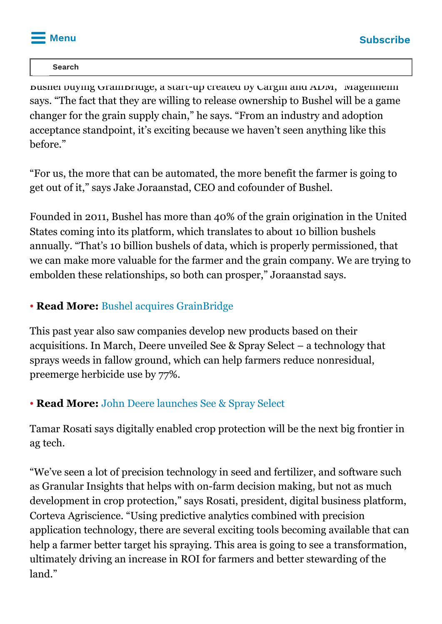

#### $\blacksquare$  Search monumental that happened that happened the most monumental that  $\blacksquare$ **Search**

Bushel buying GrainBridge, a start-up created by Cargill and ADM," Magenheim says. "The fact that they are willing to release ownership to Bushel will be a game changer for the grain supply chain," he says. "From an industry and adoption acceptance standpoint, it's exciting because we haven't seen anything like this before."

"For us, the more that can be automated, the more benefit the farmer is going to get out of it," says Jake Joraanstad, CEO and cofounder of Bushel.

Founded in 2011, Bushel has more than 40% of the grain origination in the United States coming into its platform, which translates to about 10 billion bushels annually. "That's 10 billion bushels of data, which is properly permissioned, that we can make more valuable for the farmer and the grain company. We are trying to embolden these relationships, so both can prosper," Joraanstad says.

### ● **Read More:** [Bushel acquires GrainBridge](https://www.agriculture.com/news/technology/bushel-acquires-grainbridge)

This past year also saw companies develop new products based on their acquisitions. In March, Deere unveiled See & Spray Select – a technology that sprays weeds in fallow ground, which can help farmers reduce nonresidual, preemerge herbicide use by 77%.

### ● **Read More:** [John Deere launches See & Spray Select](https://www.agriculture.com/news/technology/john-deere-launches-see-spray-select)

Tamar Rosati says digitally enabled crop protection will be the next big frontier in ag tech.

"We've seen a lot of precision technology in seed and fertilizer, and software such as Granular Insights that helps with on-farm decision making, but not as much development in crop protection," says Rosati, president, digital business platform, Corteva Agriscience. "Using predictive analytics combined with precision application technology, there are several exciting tools becoming available that can help a farmer better target his spraying. This area is going to see a transformation, ultimately driving an increase in ROI for farmers and better stewarding of the land."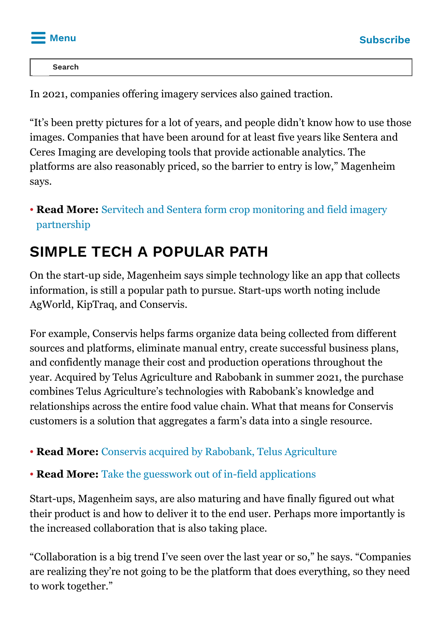

**IMAGERY EXCREMENTATION Search Search**

In 2021, companies offering imagery services also gained traction.

"It's been pretty pictures for a lot of years, and people didn't know how to use those images. Companies that have been around for at least five years like Sentera and Ceres Imaging are developing tools that provide actionable analytics. The platforms are also reasonably priced, so the barrier to entry is low," Magenheim says.

### • **Read More:** [Servitech and Sentera form crop monitoring and field imagery](https://www.agriculture.com/technology/crop-management/servitech-and-sentera-form-crop-monitoring-and-field-imagery-partnership) partnership

### **SIMPLE TECH A POPULAR PATH**

On the start-up side, Magenheim says simple technology like an app that collects information, is still a popular path to pursue. Start-ups worth noting include AgWorld, KipTraq, and Conservis.

For example, Conservis helps farms organize data being collected from different sources and platforms, eliminate manual entry, create successful business plans, and confidently manage their cost and production operations throughout the year. Acquired by Telus Agriculture and Rabobank in summer 2021, the purchase combines Telus Agriculture's technologies with Rabobank's knowledge and relationships across the entire food value chain. What that means for Conservis customers is a solution that aggregates a farm's data into a single resource.

### ● **Read More:** [Conservis acquired by Rabobank, Telus Agriculture](https://www.agriculture.com/news/technology/telus-agriculture-and-rabobank-acquire-conservis)

### • **Read More:** [Take the guesswork out of in-field applications](https://www.agriculture.com/technology/crop-management/take-the-guesswork-out-of-in-field-applications)

Start-ups, Magenheim says, are also maturing and have finally figured out what their product is and how to deliver it to the end user. Perhaps more importantly is the increased collaboration that is also taking place.

"Collaboration is a big trend I've seen over the last year or so," he says. "Companies are realizing they're not going to be the platform that does everything, so they need to work together."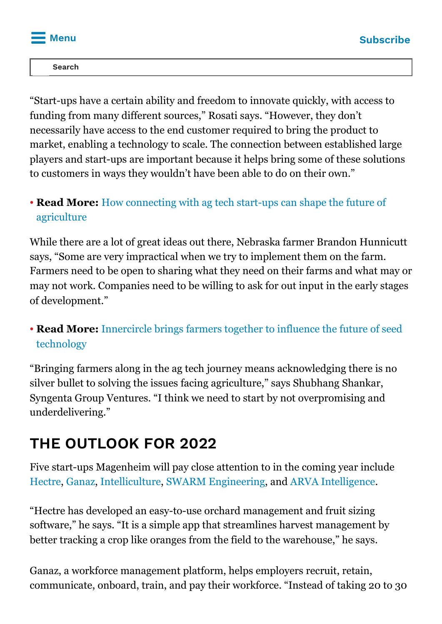

also engaging farmers sooner in the process – a critical piece that has been process – a critical piece that h<br>In the process – a critical piece that has been process – a critical piece that has been process – a critical  $\begin{array}{ccc} \hline \end{array}$ **Search**

"Start-ups have a certain ability and freedom to innovate quickly, with access to funding from many different sources," Rosati says. "However, they don't necessarily have access to the end customer required to bring the product to market, enabling a technology to scale. The connection between established large players and start-ups are important because it helps bring some of these solutions to customers in ways they wouldn't have been able to do on their own."

### • **Read More:** [How connecting with ag tech start-ups can shape the future of](https://www.agriculture.com/technology/change-is-coming) agriculture

While there are a lot of great ideas out there, Nebraska farmer Brandon Hunnicutt says, "Some are very impractical when we try to implement them on the farm. Farmers need to be open to sharing what they need on their farms and what may or may not work. Companies need to be willing to ask for out input in the early stages of development."

### • **Read More:** [Innercircle brings farmers together to influence the future of seed](https://www.agriculture.com/technology/crop-management/innercircle-brings-farmers-together-to-influence-the-future-of-seed) technology

"Bringing farmers along in the ag tech journey means acknowledging there is no silver bullet to solving the issues facing agriculture," says Shubhang Shankar, Syngenta Group Ventures. "I think we need to start by not overpromising and underdelivering."

## **THE OUTLOOK FOR 2022**

Five start-ups Magenheim will pay close attention to in the coming year include [Hectre](http://hectre.com/), [Ganaz](http://ganaz.com/), [Intelliculture,](http://intelliculture.ca/) [SWARM Engineering](http://swarm.engineering/), and [ARVA Intelligence.](http://arvaintelligence.com/)

"Hectre has developed an easy-to-use orchard management and fruit sizing software," he says. "It is a simple app that streamlines harvest management by better tracking a crop like oranges from the field to the warehouse," he says.

Ganaz, a workforce management platform, helps employers recruit, retain, communicate, onboard, train, and pay their workforce. "Instead of taking 20 to 30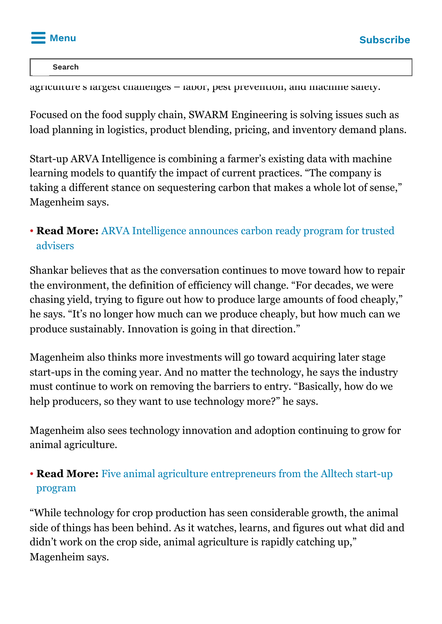

Intelliculture is a farm management software designed to address three of the address three of three of three o<br>Intelligences **Search**

 $a$ griculture's largest challenges – labor, pest prevention, and machine safety.

Focused on the food supply chain, SWARM Engineering is solving issues such as load planning in logistics, product blending, pricing, and inventory demand plans.

Start-up ARVA Intelligence is combining a farmer's existing data with machine learning models to quantify the impact of current practices. "The company is taking a different stance on sequestering carbon that makes a whole lot of sense," Magenheim says.

### • **Read More:** [ARVA Intelligence announces carbon ready program for trusted](https://www.agriculture.com/news/technology/arva-intelligence-announces-carbon-ready-program-for-trusted-advisors) advisers

Shankar believes that as the conversation continues to move toward how to repair the environment, the definition of efficiency will change. "For decades, we were chasing yield, trying to figure out how to produce large amounts of food cheaply," he says. "It's no longer how much can we produce cheaply, but how much can we produce sustainably. Innovation is going in that direction."

Magenheim also thinks more investments will go toward acquiring later stage start-ups in the coming year. And no matter the technology, he says the industry must continue to work on removing the barriers to entry. "Basically, how do we help producers, so they want to use technology more?" he says.

Magenheim also sees technology innovation and adoption continuing to grow for animal agriculture.

### • **Read More:** [Five animal agriculture entrepreneurs from the Alltech start-up](https://www.agriculture.com/TECHNOLOGY/LIVESTOCK/FIVE-ANIMAL-AGRICULTURE-ENTREPRENEURS-FROM-THE-ALLTECH-START-UP-PROGRAM) program

"While technology for crop production has seen considerable growth, the animal side of things has been behind. As it watches, learns, and figures out what did and didn't work on the crop side, animal agriculture is rapidly catching up," Magenheim says.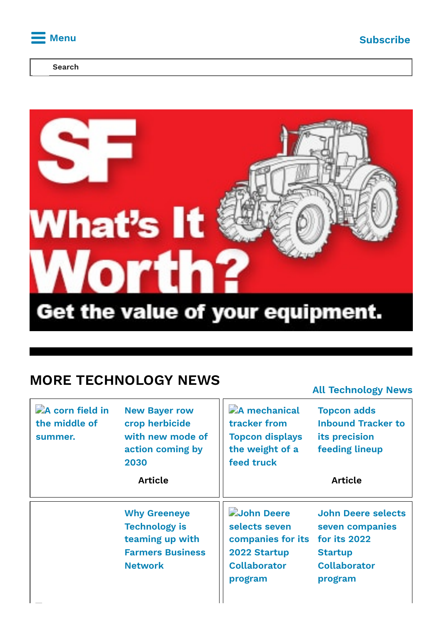

**Search**



### **MORE TECHNOLOGY NEWS**

|                                             |                                                                                                             |                                                                                                    | <b>All Technology News</b>                                                                                       |
|---------------------------------------------|-------------------------------------------------------------------------------------------------------------|----------------------------------------------------------------------------------------------------|------------------------------------------------------------------------------------------------------------------|
| A corn field in<br>the middle of<br>summer. | <b>New Bayer row</b><br>crop herbicide<br>with new mode of<br>action coming by<br>2030                      | A mechanical<br>tracker from<br><b>Topcon displays</b><br>the weight of a<br>feed truck            | <b>Topcon adds</b><br><b>Inbound Tracker to</b><br>its precision<br><b>feeding lineup</b>                        |
|                                             | <b>Article</b>                                                                                              |                                                                                                    | <b>Article</b>                                                                                                   |
|                                             | <b>Why Greeneye</b><br><b>Technology is</b><br>teaming up with<br><b>Farmers Business</b><br><b>Network</b> | John Deere<br>selects seven<br>companies for its<br>2022 Startup<br><b>Collaborator</b><br>program | <b>John Deere selects</b><br>seven companies<br>for its 2022<br><b>Startup</b><br><b>Collaborator</b><br>program |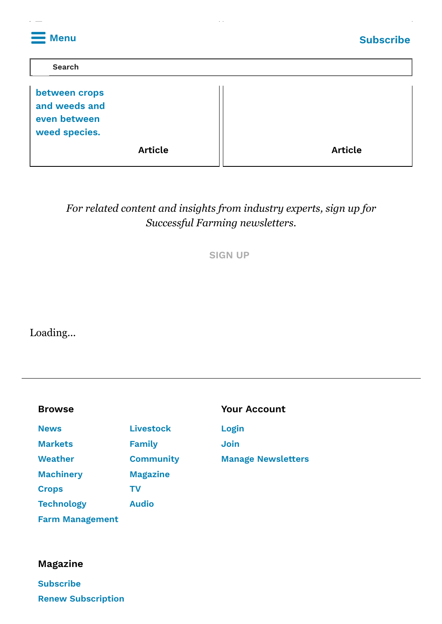| <b>Menu</b>                                                     | <b>Subscribe</b> |
|-----------------------------------------------------------------|------------------|
| <b>Search</b>                                                   |                  |
| between crops<br>and weeds and<br>even between<br>weed species. |                  |
| <b>Article</b>                                                  | <b>Article</b>   |

### *For related content and insights from industry experts, sign up for Successful Farming newsletters.*

**[SIGN](https://x.e.buysub.com/ats/show.aspx?cr=724&fm=20) UP**

Loading...

**Greeneye**

| <b>Browse</b>     |                  | <b>Your Account</b>       |
|-------------------|------------------|---------------------------|
| <b>News</b>       | <b>Livestock</b> | Login                     |
| <b>Markets</b>    | <b>Family</b>    | <b>Join</b>               |
| <b>Weather</b>    | <b>Community</b> | <b>Manage Newsletters</b> |
| <b>Machinery</b>  | <b>Magazine</b>  |                           |
| <b>Crops</b>      | ΤV               |                           |
| <b>Technology</b> | <b>Audio</b>     |                           |
|                   |                  |                           |

**Farm [Management](https://www.agriculture.com/farm-management)**

#### **Magazine**

**[Subscribe](https://w1.buysub.com/servlet/OrdersGateway?cds_mag_code=SFG&cds_page_id=166174&cds_response_key=I47GOON63) Renew [Subscription](https://w1.buysub.com/servlet/CSGateway?cds_mag_code=SFG)**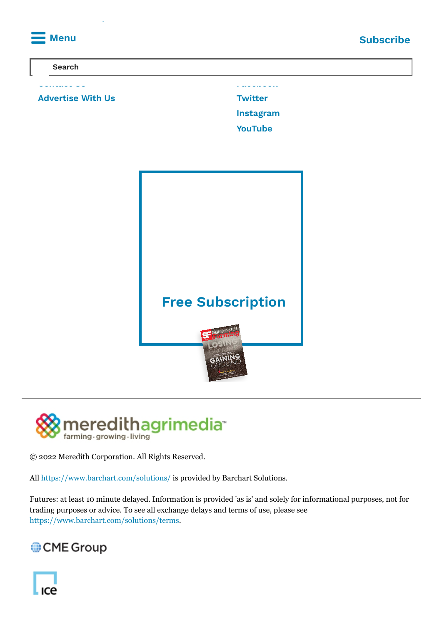





© 2022 Meredith Corporation. All Rights Reserved.

All <https://www.barchart.com/solutions/> is provided by Barchart Solutions.

Futures: at least 10 minute delayed. Information is provided 'as is' and solely for informational purposes, not for trading purposes or advice. To see all exchange delays and terms of use, please see <https://www.barchart.com/solutions/terms>.